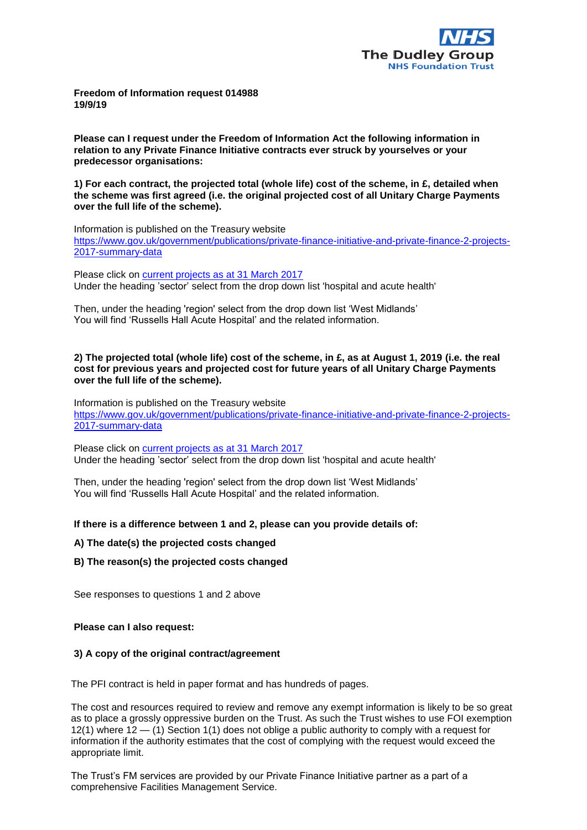

**Freedom of Information request 014988 19/9/19**

**Please can I request under the Freedom of Information Act the following information in relation to any Private Finance Initiative contracts ever struck by yourselves or your predecessor organisations:**

**1) For each contract, the projected total (whole life) cost of the scheme, in £, detailed when the scheme was first agreed (i.e. the original projected cost of all Unitary Charge Payments over the full life of the scheme).**

Information is published on the Treasury website [https://www.gov.uk/government/publications/private-finance-initiative-and-private-finance-2-projects-](https://www.gov.uk/government/publications/private-finance-initiative-and-private-finance-2-projects-2017-summary-data)[2017-summary-data](https://www.gov.uk/government/publications/private-finance-initiative-and-private-finance-2-projects-2017-summary-data)

Please click on [current projects as at 31 March 2017](https://assets.publishing.service.gov.uk/government/uploads/system/uploads/attachment_data/file/693177/current_projects_as_at_31_March_2017.xlsx) Under the heading 'sector' select from the drop down list 'hospital and acute health'

Then, under the heading 'region' select from the drop down list 'West Midlands' You will find 'Russells Hall Acute Hospital' and the related information.

## **2) The projected total (whole life) cost of the scheme, in £, as at August 1, 2019 (i.e. the real cost for previous years and projected cost for future years of all Unitary Charge Payments over the full life of the scheme).**

Information is published on the Treasury website [https://www.gov.uk/government/publications/private-finance-initiative-and-private-finance-2-projects-](https://www.gov.uk/government/publications/private-finance-initiative-and-private-finance-2-projects-2017-summary-data)[2017-summary-data](https://www.gov.uk/government/publications/private-finance-initiative-and-private-finance-2-projects-2017-summary-data)

Please click on [current projects as at 31 March 2017](https://assets.publishing.service.gov.uk/government/uploads/system/uploads/attachment_data/file/693177/current_projects_as_at_31_March_2017.xlsx) Under the heading 'sector' select from the drop down list 'hospital and acute health'

Then, under the heading 'region' select from the drop down list 'West Midlands' You will find 'Russells Hall Acute Hospital' and the related information.

# **If there is a difference between 1 and 2, please can you provide details of:**

### **A) The date(s) the projected costs changed**

**B) The reason(s) the projected costs changed** 

See responses to questions 1 and 2 above

### **Please can I also request:**

### **3) A copy of the original contract/agreement**

The PFI contract is held in paper format and has hundreds of pages.

The cost and resources required to review and remove any exempt information is likely to be so great as to place a grossly oppressive burden on the Trust. As such the Trust wishes to use FOI exemption 12(1) where 12 — (1) Section 1(1) does not oblige a public authority to comply with a request for information if the authority estimates that the cost of complying with the request would exceed the appropriate limit.

The Trust's FM services are provided by our Private Finance Initiative partner as a part of a comprehensive Facilities Management Service.